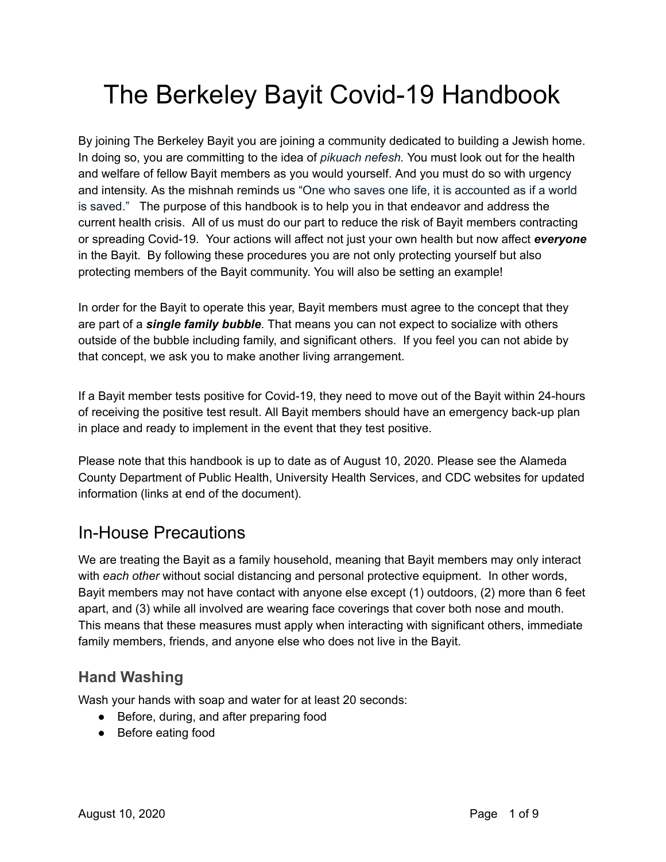# The Berkeley Bayit Covid-19 Handbook

By joining The Berkeley Bayit you are joining a community dedicated to building a Jewish home. In doing so, you are committing to the idea of *pikuach nefesh.* You must look out for the health and welfare of fellow Bayit members as you would yourself. And you must do so with urgency and intensity. As the mishnah reminds us "One who saves one life, it is accounted as if a world is saved." The purpose of this handbook is to help you in that endeavor and address the current health crisis. All of us must do our part to reduce the risk of Bayit members contracting or spreading Covid-19. Your actions will affect not just your own health but now affect *everyone* in the Bayit. By following these procedures you are not only protecting yourself but also protecting members of the Bayit community. You will also be setting an example!

In order for the Bayit to operate this year, Bayit members must agree to the concept that they are part of a *single family bubble*. That means you can not expect to socialize with others outside of the bubble including family, and significant others. If you feel you can not abide by that concept, we ask you to make another living arrangement.

If a Bayit member tests positive for Covid-19, they need to move out of the Bayit within 24-hours of receiving the positive test result. All Bayit members should have an emergency back-up plan in place and ready to implement in the event that they test positive.

Please note that this handbook is up to date as of August 10, 2020. Please see the Alameda County Department of Public Health, University Health Services, and CDC websites for updated information (links at end of the document).

# In-House Precautions

We are treating the Bayit as a family household, meaning that Bayit members may only interact with *each other* without social distancing and personal protective equipment. In other words, Bayit members may not have contact with anyone else except (1) outdoors, (2) more than 6 feet apart, and (3) while all involved are wearing face coverings that cover both nose and mouth. This means that these measures must apply when interacting with significant others, immediate family members, friends, and anyone else who does not live in the Bayit.

## **Hand Washing**

Wash your hands with soap and water for at least 20 seconds:

- Before, during, and after preparing food
- Before eating food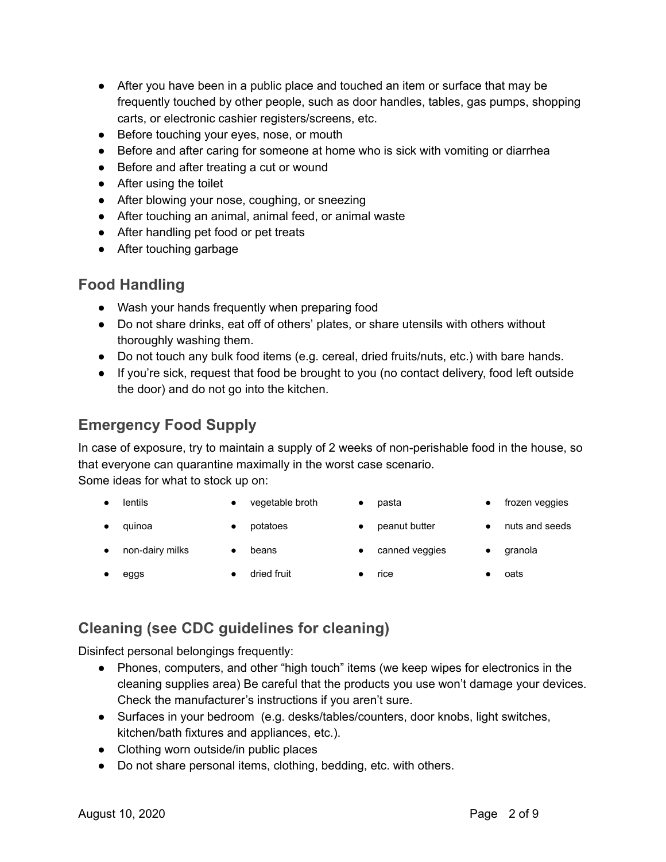- After you have been in a public place and touched an item or surface that may be frequently touched by other people, such as door handles, tables, gas pumps, shopping carts, or electronic cashier registers/screens, etc.
- Before touching your eyes, nose, or mouth
- Before and after caring for someone at home who is sick with vomiting or diarrhea
- Before and after treating a cut or wound
- After using the toilet
- After blowing your nose, coughing, or sneezing
- After touching an animal, animal feed, or animal waste
- After handling pet food or pet treats
- After touching garbage

### **Food Handling**

- Wash your hands frequently when preparing food
- Do not share drinks, eat off of others' plates, or share utensils with others without thoroughly washing them.
- Do not touch any bulk food items (e.g. cereal, dried fruits/nuts, etc.) with bare hands.
- If you're sick, request that food be brought to you (no contact delivery, food left outside the door) and do not go into the kitchen.

# **Emergency Food Supply**

In case of exposure, try to maintain a supply of 2 weeks of non-perishable food in the house, so that everyone can quarantine maximally in the worst case scenario.

Some ideas for what to stock up on:

- lentils vegetable broth pasta frozen veggies
	-
- 
- quinoa potatoes peanut butter nuts and seeds
- 
- 
- 
- 
- 
- 
- non-dairy milks beans canned veggies granola
	-
- 
- -
- 
- eggs dried fruit ● rice oats

# **Cleaning (see CDC guidelines for cleaning)**

Disinfect personal belongings frequently:

- Phones, computers, and other "high touch" items (we keep wipes for electronics in the cleaning supplies area) Be careful that the products you use won't damage your devices. Check the manufacturer's instructions if you aren't sure.
- Surfaces in your bedroom (e.g. desks/tables/counters, door knobs, light switches, kitchen/bath fixtures and appliances, etc.).
- Clothing worn outside/in public places
- Do not share personal items, clothing, bedding, etc. with others.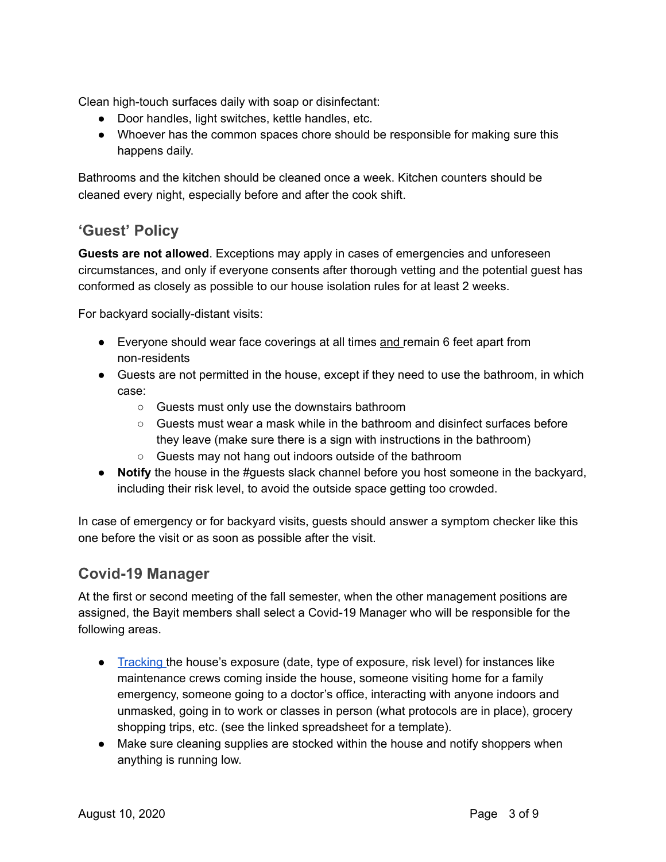Clean high-touch surfaces daily with soap or disinfectant:

- Door handles, light switches, kettle handles, etc.
- Whoever has the common spaces chore should be responsible for making sure this happens daily.

Bathrooms and the kitchen should be cleaned once a week. Kitchen counters should be cleaned every night, especially before and after the cook shift.

### **'Guest' Policy**

**Guests are not allowed**. Exceptions may apply in cases of emergencies and unforeseen circumstances, and only if everyone consents after thorough vetting and the potential guest has conformed as closely as possible to our house isolation rules for at least 2 weeks.

For backyard socially-distant visits:

- Everyone should wear face coverings at all times and remain 6 feet apart from non-residents
- Guests are not permitted in the house, except if they need to use the bathroom, in which case:
	- Guests must only use the downstairs bathroom
	- Guests must wear a mask while in the bathroom and disinfect surfaces before they leave (make sure there is a sign with instructions in the bathroom)
	- Guests may not hang out indoors outside of the bathroom
- **Notify** the house in the #guests slack channel before you host someone in the backyard, including their risk level, to avoid the outside space getting too crowded.

In case of emergency or for backyard visits, guests should answer a symptom checker like this one before the visit or as soon as possible after the visit.

### **Covid-19 Manager**

At the first or second meeting of the fall semester, when the other management positions are assigned, the Bayit members shall select a Covid-19 Manager who will be responsible for the following areas.

- [Tracking](https://docs.google.com/spreadsheets/d/1C0Nvnj1uH5DvBChLb5WZX24UcmW11RI3GhkBfYUeJ-s/template/preview) the house's exposure (date, type of exposure, risk level) for instances like maintenance crews coming inside the house, someone visiting home for a family emergency, someone going to a doctor's office, interacting with anyone indoors and unmasked, going in to work or classes in person (what protocols are in place), grocery shopping trips, etc. (see the linked spreadsheet for a template).
- Make sure cleaning supplies are stocked within the house and notify shoppers when anything is running low.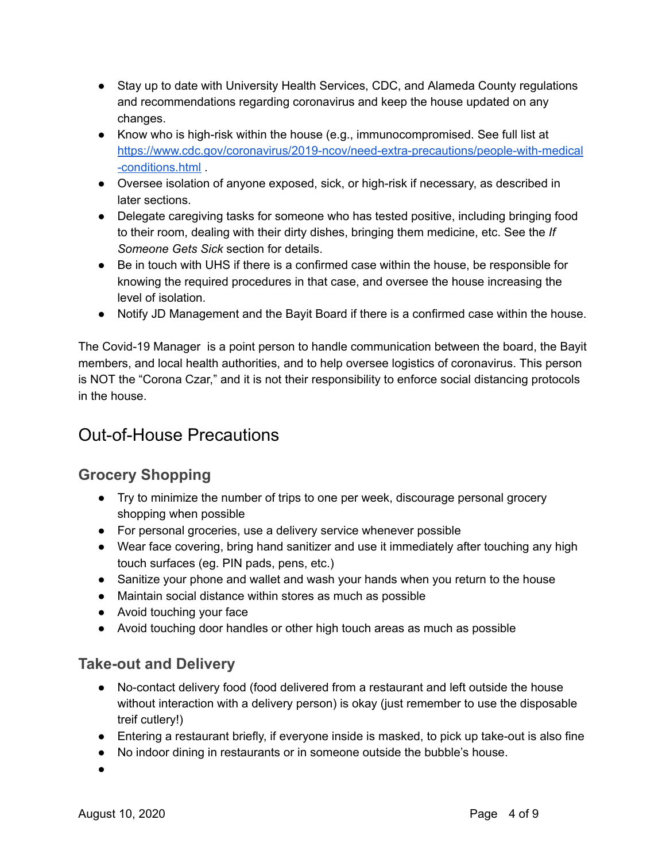- Stay up to date with University Health Services, CDC, and Alameda County regulations and recommendations regarding coronavirus and keep the house updated on any changes.
- Know who is high-risk within the house (e.g., immunocompromised. See full list at [https://www.cdc.gov/coronavirus/2019-ncov/need-extra-precautions/people-with-medical](https://www.cdc.gov/coronavirus/2019-ncov/need-extra-precautions/people-with-medical-conditions.html) [-conditions.html](https://www.cdc.gov/coronavirus/2019-ncov/need-extra-precautions/people-with-medical-conditions.html) .
- Oversee isolation of anyone exposed, sick, or high-risk if necessary, as described in later sections.
- Delegate caregiving tasks for someone who has tested positive, including bringing food to their room, dealing with their dirty dishes, bringing them medicine, etc. See the *If Someone Gets Sick* section for details.
- Be in touch with UHS if there is a confirmed case within the house, be responsible for knowing the required procedures in that case, and oversee the house increasing the level of isolation.
- Notify JD Management and the Bayit Board if there is a confirmed case within the house.

The Covid-19 Manager is a point person to handle communication between the board, the Bayit members, and local health authorities, and to help oversee logistics of coronavirus. This person is NOT the "Corona Czar," and it is not their responsibility to enforce social distancing protocols in the house.

# Out-of-House Precautions

## **Grocery Shopping**

- Try to minimize the number of trips to one per week, discourage personal grocery shopping when possible
- For personal groceries, use a delivery service whenever possible
- Wear face covering, bring hand sanitizer and use it immediately after touching any high touch surfaces (eg. PIN pads, pens, etc.)
- Sanitize your phone and wallet and wash your hands when you return to the house
- Maintain social distance within stores as much as possible
- Avoid touching your face
- Avoid touching door handles or other high touch areas as much as possible

### **Take-out and Delivery**

- No-contact delivery food (food delivered from a restaurant and left outside the house without interaction with a delivery person) is okay (just remember to use the disposable treif cutlery!)
- Entering a restaurant briefly, if everyone inside is masked, to pick up take-out is also fine
- No indoor dining in restaurants or in someone outside the bubble's house.
- ●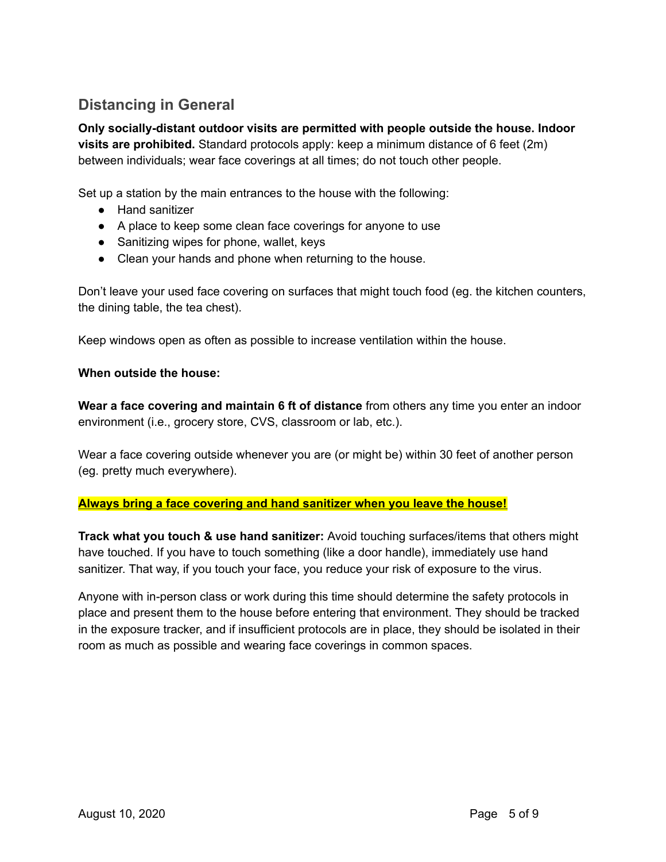# **Distancing in General**

**Only socially-distant outdoor visits are permitted with people outside the house. Indoor visits are prohibited.** Standard protocols apply: keep a minimum distance of 6 feet (2m) between individuals; wear face coverings at all times; do not touch other people.

Set up a station by the main entrances to the house with the following:

- Hand sanitizer
- A place to keep some clean face coverings for anyone to use
- Sanitizing wipes for phone, wallet, keys
- Clean your hands and phone when returning to the house.

Don't leave your used face covering on surfaces that might touch food (eg. the kitchen counters, the dining table, the tea chest).

Keep windows open as often as possible to increase ventilation within the house.

#### **When outside the house:**

**Wear a face covering and maintain 6 ft of distance** from others any time you enter an indoor environment (i.e., grocery store, CVS, classroom or lab, etc.).

Wear a face covering outside whenever you are (or might be) within 30 feet of another person (eg. pretty much everywhere).

#### **Always bring a face covering and hand sanitizer when you leave the house!**

**Track what you touch & use hand sanitizer:** Avoid touching surfaces/items that others might have touched. If you have to touch something (like a door handle), immediately use hand sanitizer. That way, if you touch your face, you reduce your risk of exposure to the virus.

Anyone with in-person class or work during this time should determine the safety protocols in place and present them to the house before entering that environment. They should be tracked in the exposure tracker, and if insufficient protocols are in place, they should be isolated in their room as much as possible and wearing face coverings in common spaces.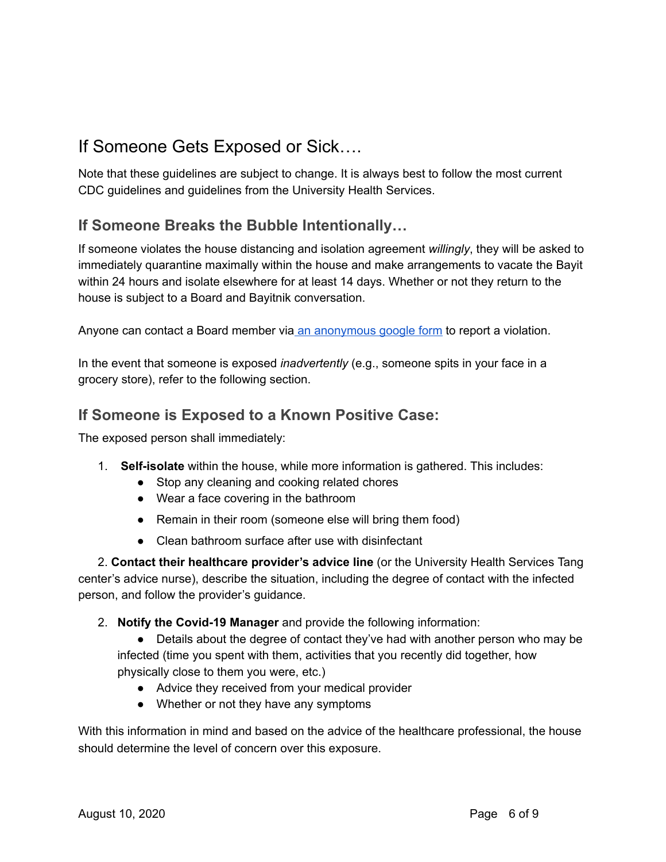# If Someone Gets Exposed or Sick….

Note that these guidelines are subject to change. It is always best to follow the most current CDC guidelines and guidelines from the University Health Services.

## **If Someone Breaks the Bubble Intentionally…**

If someone violates the house distancing and isolation agreement *willingly*, they will be asked to immediately quarantine maximally within the house and make arrangements to vacate the Bayit within 24 hours and isolate elsewhere for at least 14 days. Whether or not they return to the house is subject to a Board and Bayitnik conversation.

Anyone can contact a Board member via an [anonymous](https://forms.gle/CoABrnFSa66TahFZA) google form to report a violation.

In the event that someone is exposed *inadvertently* (e.g., someone spits in your face in a grocery store), refer to the following section.

### **If Someone is Exposed to a Known Positive Case:**

The exposed person shall immediately:

- 1. **Self-isolate** within the house, while more information is gathered. This includes:
	- Stop any cleaning and cooking related chores
	- Wear a face covering in the bathroom
	- Remain in their room (someone else will bring them food)
	- Clean bathroom surface after use with disinfectant

2. **Contact their healthcare provider's advice line** (or the University Health Services Tang center's advice nurse), describe the situation, including the degree of contact with the infected person, and follow the provider's guidance.

2. **Notify the Covid-19 Manager** and provide the following information:

• Details about the degree of contact they've had with another person who may be infected (time you spent with them, activities that you recently did together, how physically close to them you were, etc.)

- Advice they received from your medical provider
- Whether or not they have any symptoms

With this information in mind and based on the advice of the healthcare professional, the house should determine the level of concern over this exposure.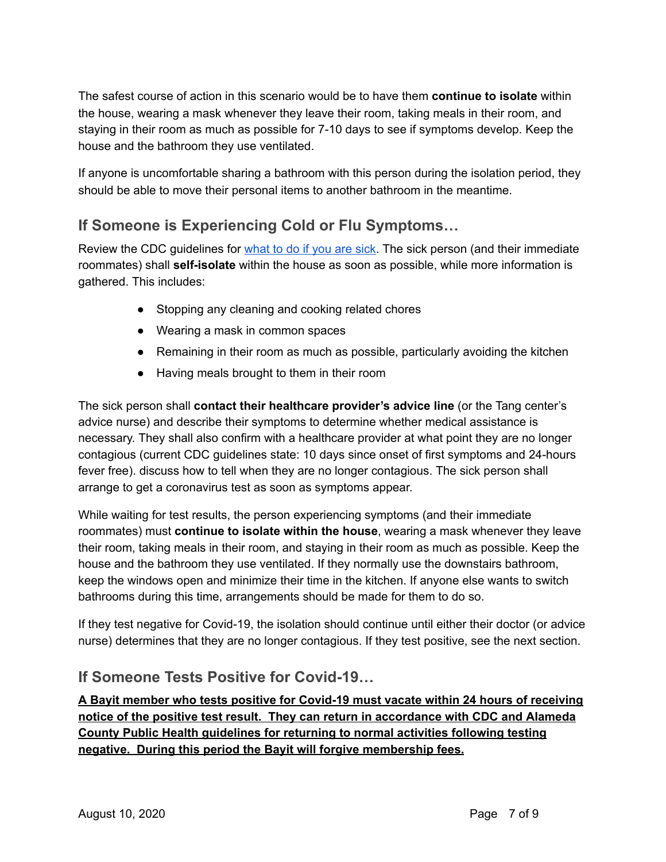The safest course of action in this scenario would be to have them **continue to isolate** within the house, wearing a mask whenever they leave their room, taking meals in their room, and staying in their room as much as possible for 7-10 days to see if symptoms develop. Keep the house and the bathroom they use ventilated.

If anyone is uncomfortable sharing a bathroom with this person during the isolation period, they should be able to move their personal items to another bathroom in the meantime.

# **If Someone is Experiencing Cold or Flu Symptoms…**

Review the CDC quidelines for [what](https://www.cdc.gov/coronavirus/2019-ncov/if-you-are-sick/index.html) to do if you are sick. The sick person (and their immediate roommates) shall **self-isolate** within the house as soon as possible, while more information is gathered. This includes:

- Stopping any cleaning and cooking related chores
- Wearing a mask in common spaces
- Remaining in their room as much as possible, particularly avoiding the kitchen
- Having meals brought to them in their room

The sick person shall **contact their healthcare provider's advice line** (or the Tang center's advice nurse) and describe their symptoms to determine whether medical assistance is necessary. They shall also confirm with a healthcare provider at what point they are no longer contagious (current CDC guidelines state: 10 days since onset of first symptoms and 24-hours fever free). discuss how to tell when they are no longer contagious. The sick person shall arrange to get a coronavirus test as soon as symptoms appear.

While waiting for test results, the person experiencing symptoms (and their immediate roommates) must **continue to isolate within the house**, wearing a mask whenever they leave their room, taking meals in their room, and staying in their room as much as possible. Keep the house and the bathroom they use ventilated. If they normally use the downstairs bathroom, keep the windows open and minimize their time in the kitchen. If anyone else wants to switch bathrooms during this time, arrangements should be made for them to do so.

If they test negative for Covid-19, the isolation should continue until either their doctor (or advice nurse) determines that they are no longer contagious. If they test positive, see the next section.

### **If Someone Tests Positive for Covid-19…**

**A Bayit member who tests positive for Covid-19 must vacate within 24 hours of receiving notice of the positive test result. They can return in accordance with CDC and Alameda County Public Health guidelines for returning to normal activities following testing negative. During this period the Bayit will forgive membership fees.**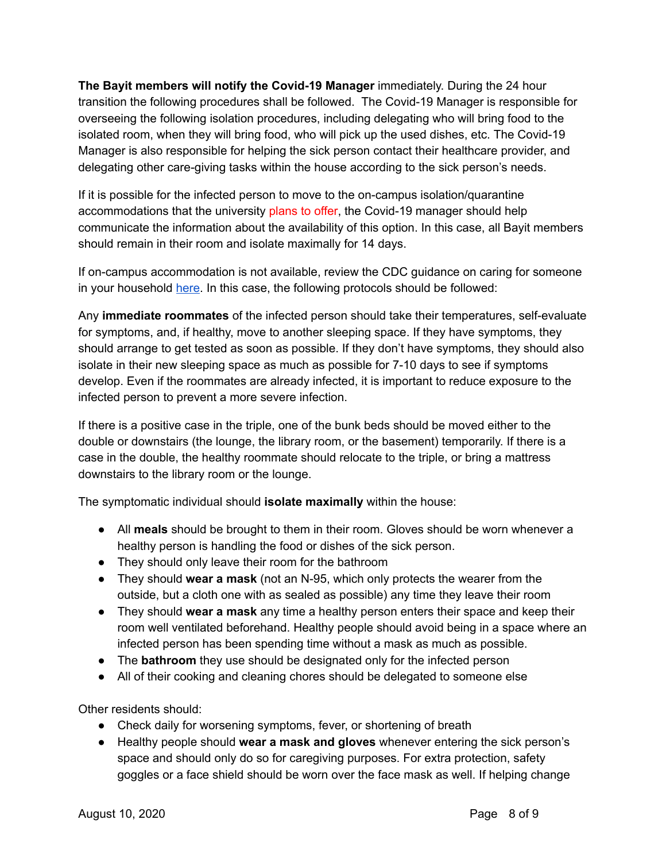**The Bayit members will notify the Covid-19 Manager** immediately. During the 24 hour transition the following procedures shall be followed. The Covid-19 Manager is responsible for overseeing the following isolation procedures, including delegating who will bring food to the isolated room, when they will bring food, who will pick up the used dishes, etc. The Covid-19 Manager is also responsible for helping the sick person contact their healthcare provider, and delegating other care-giving tasks within the house according to the sick person's needs.

If it is possible for the infected person to move to the on-campus isolation/quarantine accommodations that the university plans to offer, the Covid-19 manager should help communicate the information about the availability of this option. In this case, all Bayit members should remain in their room and isolate maximally for 14 days.

If on-campus accommodation is not available, review the CDC guidance on caring for someone in your household [here.](https://www.cdc.gov/coronavirus/2019-ncov/if-you-are-sick/care-for-someone.html) In this case, the following protocols should be followed:

Any **immediate roommates** of the infected person should take their temperatures, self-evaluate for symptoms, and, if healthy, move to another sleeping space. If they have symptoms, they should arrange to get tested as soon as possible. If they don't have symptoms, they should also isolate in their new sleeping space as much as possible for 7-10 days to see if symptoms develop. Even if the roommates are already infected, it is important to reduce exposure to the infected person to prevent a more severe infection.

If there is a positive case in the triple, one of the bunk beds should be moved either to the double or downstairs (the lounge, the library room, or the basement) temporarily. If there is a case in the double, the healthy roommate should relocate to the triple, or bring a mattress downstairs to the library room or the lounge.

The symptomatic individual should **isolate maximally** within the house:

- All **meals** should be brought to them in their room. Gloves should be worn whenever a healthy person is handling the food or dishes of the sick person.
- They should only leave their room for the bathroom
- They should **wear a mask** (not an N-95, which only protects the wearer from the outside, but a cloth one with as sealed as possible) any time they leave their room
- They should **wear a mask** any time a healthy person enters their space and keep their room well ventilated beforehand. Healthy people should avoid being in a space where an infected person has been spending time without a mask as much as possible.
- The **bathroom** they use should be designated only for the infected person
- All of their cooking and cleaning chores should be delegated to someone else

Other residents should:

- Check daily for worsening symptoms, fever, or shortening of breath
- Healthy people should **wear a mask and gloves** whenever entering the sick person's space and should only do so for caregiving purposes. For extra protection, safety goggles or a face shield should be worn over the face mask as well. If helping change